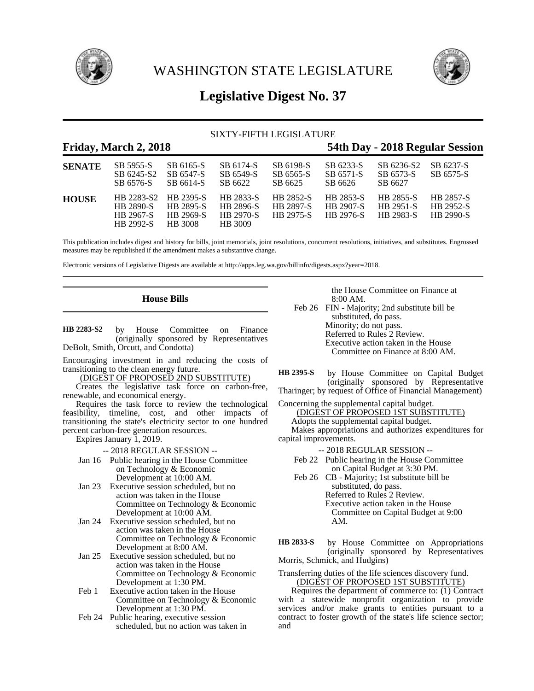

WASHINGTON STATE LEGISLATURE



# **Legislative Digest No. 37**

# SIXTY-FIFTH LEGISLATURE

# **Friday, March 2, 2018 54th Day - 2018 Regular Session**

| <b>SENATE</b> | SB 5955-S<br>SB 6245-S2<br>SB 6576-S                     | SB 6165-S<br>SB 6547-S<br>SB 6614-S                          | SB 6174-S<br>SB 6549-S<br>SB 6622              | SB 6198-S<br>SB 6565-S<br>SB 6625                        | SB 6233-S<br>SB 6571-S<br>SB 6626          | SB 6236-S2<br>SB 6573-S<br>SB 6627         | SB 6237-S<br>SB 6575-S                     |
|---------------|----------------------------------------------------------|--------------------------------------------------------------|------------------------------------------------|----------------------------------------------------------|--------------------------------------------|--------------------------------------------|--------------------------------------------|
| <b>HOUSE</b>  | HB 2283-S2<br><b>HR 2890-S</b><br>HB 2967-S<br>HB 2992-S | HB 2395-S<br><b>HB 2895-S</b><br>HB 2969-S<br><b>HB</b> 3008 | HB 2833-S<br>HB 2896-S<br>HB 2970-S<br>HB 3009 | <b>HB 2852-S</b><br><b>HB 2897-S</b><br><b>HB</b> 2975-S | HB 2853-S<br><b>HB 2907-S</b><br>HB 2976-S | <b>HB 2855-S</b><br>HB 2951-S<br>HB 2983-S | HB 2857-S<br>HB 2952-S<br><b>HB</b> 2990-S |

This publication includes digest and history for bills, joint memorials, joint resolutions, concurrent resolutions, initiatives, and substitutes. Engrossed measures may be republished if the amendment makes a substantive change.

Electronic versions of Legislative Digests are available at http://apps.leg.wa.gov/billinfo/digests.aspx?year=2018.

# **House Bills**

by House Committee on Finance (originally sponsored by Representatives DeBolt, Smith, Orcutt, and Condotta) **HB 2283-S2**

Encouraging investment in and reducing the costs of transitioning to the clean energy future.

(DIGEST OF PROPOSED 2ND SUBSTITUTE)

Creates the legislative task force on carbon-free, renewable, and economical energy.

Requires the task force to review the technological feasibility, timeline, cost, and other impacts of transitioning the state's electricity sector to one hundred percent carbon-free generation resources.

Expires January 1, 2019.

-- 2018 REGULAR SESSION --

- Jan 16 Public hearing in the House Committee on Technology & Economic Development at 10:00 AM.
- Jan 23 Executive session scheduled, but no action was taken in the House Committee on Technology & Economic Development at 10:00 AM.
- Jan 24 Executive session scheduled, but no action was taken in the House Committee on Technology & Economic Development at 8:00 AM.
- Jan 25 Executive session scheduled, but no action was taken in the House Committee on Technology & Economic Development at 1:30 PM.
- Feb 1 Executive action taken in the House Committee on Technology & Economic Development at 1:30 PM.
- Feb 24 Public hearing, executive session scheduled, but no action was taken in

the House Committee on Finance at 8:00 AM.

Feb 26 FIN - Majority; 2nd substitute bill be substituted, do pass. Minority; do not pass. Referred to Rules 2 Review. Executive action taken in the House Committee on Finance at 8:00 AM.

by House Committee on Capital Budget (originally sponsored by Representative Tharinger; by request of Office of Financial Management) **HB 2395-S**

Concerning the supplemental capital budget.

(DIGEST OF PROPOSED 1ST SUBSTITUTE)

Adopts the supplemental capital budget. Makes appropriations and authorizes expenditures for capital improvements.

- -- 2018 REGULAR SESSION --
- Feb 22 Public hearing in the House Committee on Capital Budget at 3:30 PM.
- Feb 26 CB Majority; 1st substitute bill be substituted, do pass. Referred to Rules 2 Review. Executive action taken in the House Committee on Capital Budget at 9:00 AM.

by House Committee on Appropriations (originally sponsored by Representatives Morris, Schmick, and Hudgins) **HB 2833-S**

#### Transferring duties of the life sciences discovery fund. (DIGEST OF PROPOSED 1ST SUBSTITUTE)

Requires the department of commerce to: (1) Contract with a statewide nonprofit organization to provide services and/or make grants to entities pursuant to a contract to foster growth of the state's life science sector; and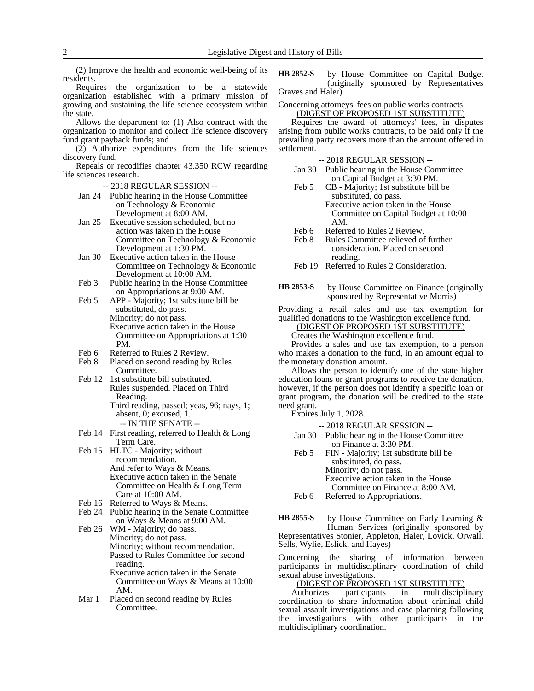(2) Improve the health and economic well-being of its residents.

Requires the organization to be a statewide organization established with a primary mission of growing and sustaining the life science ecosystem within the state.

Allows the department to: (1) Also contract with the organization to monitor and collect life science discovery fund grant payback funds; and

(2) Authorize expenditures from the life sciences discovery fund.

Repeals or recodifies chapter 43.350 RCW regarding life sciences research.

-- 2018 REGULAR SESSION --

- Jan 24 Public hearing in the House Committee on Technology & Economic Development at 8:00 AM.
- Jan 25 Executive session scheduled, but no action was taken in the House Committee on Technology & Economic Development at 1:30 PM.
- Jan 30 Executive action taken in the House Committee on Technology & Economic Development at 10:00 AM.
- Feb 3 Public hearing in the House Committee on Appropriations at 9:00 AM.
- Feb 5 APP Majority; 1st substitute bill be substituted, do pass. Minority; do not pass. Executive action taken in the House Committee on Appropriations at 1:30 PM.
- Feb 6 Referred to Rules 2 Review.<br>Feb 8 Placed on second reading by
- Placed on second reading by Rules Committee.
- Feb 12 1st substitute bill substituted. Rules suspended. Placed on Third Reading. Third reading, passed; yeas, 96; nays, 1;
	- absent, 0; excused, 1. -- IN THE SENATE --
- Feb 14 First reading, referred to Health & Long Term Care.
- Feb 15 HLTC Majority; without recommendation. And refer to Ways & Means. Executive action taken in the Senate Committee on Health & Long Term Care at 10:00 AM.
- Feb 16 Referred to Ways & Means.
- Feb 24 Public hearing in the Senate Committee on Ways & Means at 9:00 AM.
- Feb 26 WM Majority; do pass. Minority; do not pass. Minority; without recommendation. Passed to Rules Committee for second reading. Executive action taken in the Senate Committee on Ways & Means at 10:00 AM.
- Mar 1 Placed on second reading by Rules Committee.

by House Committee on Capital Budget (originally sponsored by Representatives Graves and Haler) **HB 2852-S**

#### Concerning attorneys' fees on public works contracts. (DIGEST OF PROPOSED 1ST SUBSTITUTE)

Requires the award of attorneys' fees, in disputes arising from public works contracts, to be paid only if the prevailing party recovers more than the amount offered in settlement.

-- 2018 REGULAR SESSION --

- Jan 30 Public hearing in the House Committee on Capital Budget at 3:30 PM.
- Feb 5 CB Majority; 1st substitute bill be substituted, do pass. Executive action taken in the House Committee on Capital Budget at 10:00 AM.
- Feb 6 Referred to Rules 2 Review.<br>Feb 8 Rules Committee relieved of
- Rules Committee relieved of further consideration. Placed on second reading.
- Feb 19 Referred to Rules 2 Consideration.
- by House Committee on Finance (originally sponsored by Representative Morris) **HB 2853-S**

Providing a retail sales and use tax exemption for qualified donations to the Washington excellence fund.

(DIGEST OF PROPOSED 1ST SUBSTITUTE)

Creates the Washington excellence fund.

Provides a sales and use tax exemption, to a person who makes a donation to the fund, in an amount equal to the monetary donation amount.

Allows the person to identify one of the state higher education loans or grant programs to receive the donation, however, if the person does not identify a specific loan or grant program, the donation will be credited to the state need grant.

Expires July 1, 2028.

-- 2018 REGULAR SESSION --

- Jan 30 Public hearing in the House Committee on Finance at 3:30 PM.
- Feb 5 FIN Majority; 1st substitute bill be substituted, do pass. Minority; do not pass.
	- Executive action taken in the House
	- Committee on Finance at 8:00 AM.
- Feb 6 Referred to Appropriations.

by House Committee on Early Learning & Human Services (originally sponsored by Representatives Stonier, Appleton, Haler, Lovick, Orwall, Sells, Wylie, Eslick, and Hayes) **HB 2855-S**

Concerning the sharing of information between participants in multidisciplinary coordination of child sexual abuse investigations.

(DIGEST OF PROPOSED 1ST SUBSTITUTE)<br>uthorizes participants in multidiscipl Authorizes participants in multidisciplinary coordination to share information about criminal child sexual assault investigations and case planning following the investigations with other participants in the multidisciplinary coordination.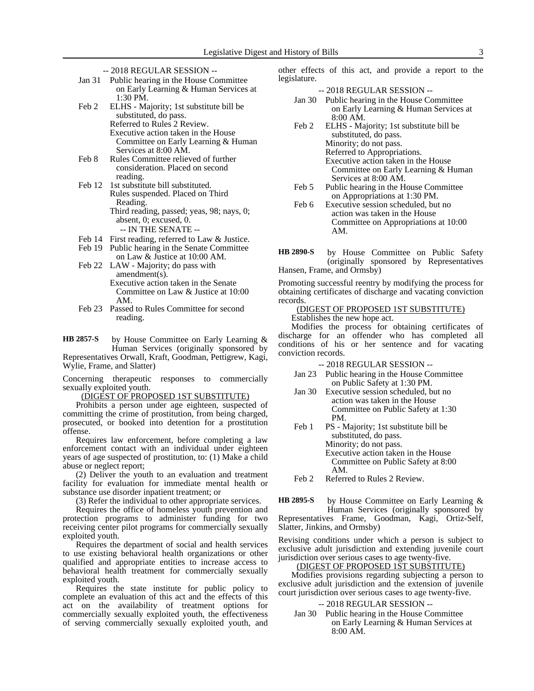- -- 2018 REGULAR SESSION --
- Jan 31 Public hearing in the House Committee on Early Learning & Human Services at 1:30 PM.
- Feb 2 ELHS Majority; 1st substitute bill be substituted, do pass. Referred to Rules 2 Review. Executive action taken in the House Committee on Early Learning & Human Services at 8:00 AM.
- Feb 8 Rules Committee relieved of further consideration. Placed on second reading.
- Feb 12 1st substitute bill substituted. Rules suspended. Placed on Third Reading. Third reading, passed; yeas, 98; nays, 0; absent, 0; excused, 0. -- IN THE SENATE --
- Feb 14 First reading, referred to Law & Justice.
- Feb 19 Public hearing in the Senate Committee on Law & Justice at 10:00 AM.
- Feb 22 LAW Majority; do pass with amendment(s). Executive action taken in the Senate Committee on Law & Justice at 10:00 AM.
- Feb 23 Passed to Rules Committee for second reading.

by House Committee on Early Learning & Human Services (originally sponsored by Representatives Orwall, Kraft, Goodman, Pettigrew, Kagi, Wylie, Frame, and Slatter) **HB 2857-S**

Concerning therapeutic responses to commercially sexually exploited youth.

(DIGEST OF PROPOSED 1ST SUBSTITUTE)

Prohibits a person under age eighteen, suspected of committing the crime of prostitution, from being charged, prosecuted, or booked into detention for a prostitution offense.

Requires law enforcement, before completing a law enforcement contact with an individual under eighteen years of age suspected of prostitution, to: (1) Make a child abuse or neglect report;

(2) Deliver the youth to an evaluation and treatment facility for evaluation for immediate mental health or substance use disorder inpatient treatment; or

(3) Refer the individual to other appropriate services.

Requires the office of homeless youth prevention and protection programs to administer funding for two receiving center pilot programs for commercially sexually exploited youth.

Requires the department of social and health services to use existing behavioral health organizations or other qualified and appropriate entities to increase access to behavioral health treatment for commercially sexually exploited youth.

Requires the state institute for public policy to complete an evaluation of this act and the effects of this act on the availability of treatment options for commercially sexually exploited youth, the effectiveness of serving commercially sexually exploited youth, and other effects of this act, and provide a report to the legislature.

-- 2018 REGULAR SESSION --

- Jan 30 Public hearing in the House Committee on Early Learning & Human Services at 8:00 AM.
- Feb 2 ELHS Majority; 1st substitute bill be substituted, do pass. Minority; do not pass. Referred to Appropriations. Executive action taken in the House Committee on Early Learning & Human Services at 8:00 AM.
- Feb 5 Public hearing in the House Committee on Appropriations at 1:30 PM.
- Feb 6 Executive session scheduled, but no action was taken in the House Committee on Appropriations at 10:00 AM.

by House Committee on Public Safety (originally sponsored by Representatives Hansen, Frame, and Ormsby) **HB 2890-S**

Promoting successful reentry by modifying the process for obtaining certificates of discharge and vacating conviction records.

(DIGEST OF PROPOSED 1ST SUBSTITUTE)

Establishes the new hope act.

Modifies the process for obtaining certificates of discharge for an offender who has completed all conditions of his or her sentence and for vacating conviction records.

-- 2018 REGULAR SESSION --

- Jan 23 Public hearing in the House Committee on Public Safety at 1:30 PM.
- Jan 30 Executive session scheduled, but no action was taken in the House Committee on Public Safety at 1:30 PM.
- Feb 1 PS Majority; 1st substitute bill be substituted, do pass. Minority; do not pass. Executive action taken in the House Committee on Public Safety at 8:00 AM.

Feb 2 Referred to Rules 2 Review.

by House Committee on Early Learning & Human Services (originally sponsored by Representatives Frame, Goodman, Kagi, Ortiz-Self, Slatter, Jinkins, and Ormsby) **HB 2895-S**

Revising conditions under which a person is subject to exclusive adult jurisdiction and extending juvenile court jurisdiction over serious cases to age twenty-five.

## (DIGEST OF PROPOSED 1ST SUBSTITUTE)

Modifies provisions regarding subjecting a person to exclusive adult jurisdiction and the extension of juvenile court jurisdiction over serious cases to age twenty-five.

### -- 2018 REGULAR SESSION --

Jan 30 Public hearing in the House Committee on Early Learning & Human Services at 8:00 AM.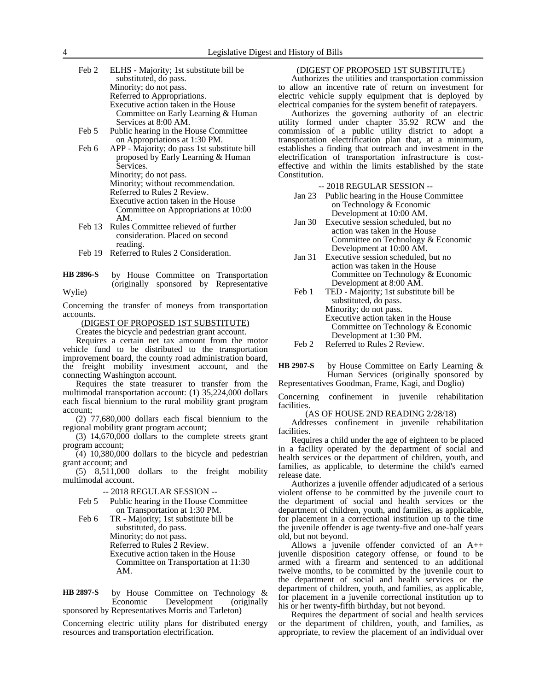- Feb 2 ELHS Majority; 1st substitute bill be substituted, do pass. Minority; do not pass. Referred to Appropriations. Executive action taken in the House Committee on Early Learning & Human Services at 8:00 AM.
- Feb 5 Public hearing in the House Committee on Appropriations at 1:30 PM.
- Feb 6 APP Majority; do pass 1st substitute bill proposed by Early Learning & Human Services. Minority; do not pass.

Minority; without recommendation.

Referred to Rules 2 Review.

Executive action taken in the House Committee on Appropriations at 10:00 AM.

- Feb 13 Rules Committee relieved of further consideration. Placed on second reading.
- Feb 19 Referred to Rules 2 Consideration.
- by House Committee on Transportation (originally sponsored by Representative Wylie) **HB 2896-S**

Concerning the transfer of moneys from transportation accounts.

(DIGEST OF PROPOSED 1ST SUBSTITUTE)

Creates the bicycle and pedestrian grant account.

Requires a certain net tax amount from the motor vehicle fund to be distributed to the transportation improvement board, the county road administration board, the freight mobility investment account, and the connecting Washington account.

Requires the state treasurer to transfer from the multimodal transportation account: (1) 35,224,000 dollars each fiscal biennium to the rural mobility grant program account;

(2) 77,680,000 dollars each fiscal biennium to the regional mobility grant program account;

 $(3)$  14,670,000 dollars to the complete streets grant program account;

 $(4)$  10,380,000 dollars to the bicycle and pedestrian grant account; and

(5) 8,511,000 dollars to the freight mobility multimodal account.

-- 2018 REGULAR SESSION --

- Feb 5 Public hearing in the House Committee on Transportation at 1:30 PM.
- Feb 6 TR Majority; 1st substitute bill be substituted, do pass. Minority; do not pass. Referred to Rules 2 Review. Executive action taken in the House Committee on Transportation at 11:30 AM.

by House Committee on Technology & Economic Development (originally sponsored by Representatives Morris and Tarleton) **HB 2897-S**

Concerning electric utility plans for distributed energy resources and transportation electrification.

# (DIGEST OF PROPOSED 1ST SUBSTITUTE)

Authorizes the utilities and transportation commission to allow an incentive rate of return on investment for electric vehicle supply equipment that is deployed by electrical companies for the system benefit of ratepayers.

Authorizes the governing authority of an electric utility formed under chapter 35.92 RCW and the commission of a public utility district to adopt a transportation electrification plan that, at a minimum, establishes a finding that outreach and investment in the electrification of transportation infrastructure is costeffective and within the limits established by the state Constitution.

-- 2018 REGULAR SESSION --

- Jan 23 Public hearing in the House Committee on Technology & Economic Development at 10:00 AM.
- Jan 30 Executive session scheduled, but no action was taken in the House Committee on Technology & Economic Development at 10:00 AM.
- Jan 31 Executive session scheduled, but no action was taken in the House Committee on Technology & Economic Development at 8:00 AM.
- Feb 1 TED Majority; 1st substitute bill be substituted, do pass. Minority; do not pass. Executive action taken in the House Committee on Technology & Economic Development at 1:30 PM.
- Feb 2 Referred to Rules 2 Review.

by House Committee on Early Learning & Human Services (originally sponsored by **HB 2907-S**

Representatives Goodman, Frame, Kagi, and Doglio)

Concerning confinement in juvenile rehabilitation facilities.

(AS OF HOUSE 2ND READING 2/28/18)

Addresses confinement in juvenile rehabilitation facilities.

Requires a child under the age of eighteen to be placed in a facility operated by the department of social and health services or the department of children, youth, and families, as applicable, to determine the child's earned release date.

Authorizes a juvenile offender adjudicated of a serious violent offense to be committed by the juvenile court to the department of social and health services or the department of children, youth, and families, as applicable, for placement in a correctional institution up to the time the juvenile offender is age twenty-five and one-half years old, but not beyond.

Allows a juvenile offender convicted of an A++ juvenile disposition category offense, or found to be armed with a firearm and sentenced to an additional twelve months, to be committed by the juvenile court to the department of social and health services or the department of children, youth, and families, as applicable, for placement in a juvenile correctional institution up to his or her twenty-fifth birthday, but not beyond.

Requires the department of social and health services or the department of children, youth, and families, as appropriate, to review the placement of an individual over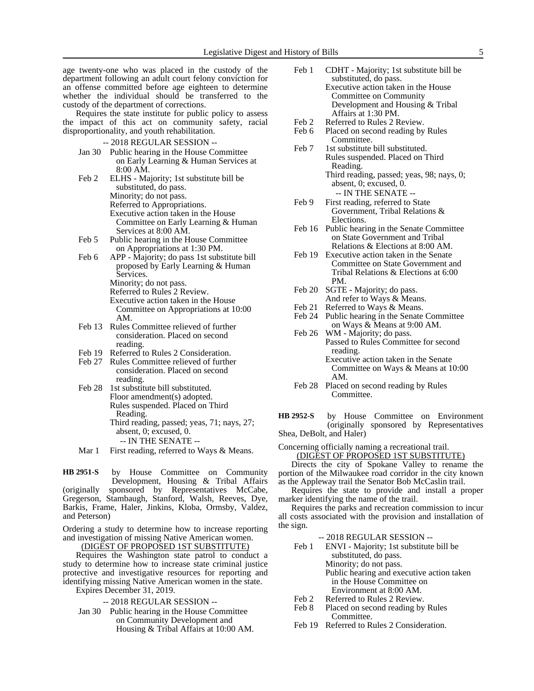age twenty-one who was placed in the custody of the department following an adult court felony conviction for an offense committed before age eighteen to determine whether the individual should be transferred to the custody of the department of corrections.

Requires the state institute for public policy to assess the impact of this act on community safety, racial disproportionality, and youth rehabilitation.

-- 2018 REGULAR SESSION --

- Jan 30 Public hearing in the House Committee on Early Learning & Human Services at 8:00 AM.
- Feb 2 ELHS Majority; 1st substitute bill be substituted, do pass. Minority; do not pass. Referred to Appropriations. Executive action taken in the House Committee on Early Learning & Human Services at 8:00 AM.
- Feb 5 Public hearing in the House Committee on Appropriations at 1:30 PM.
- Feb 6 APP Majority; do pass 1st substitute bill proposed by Early Learning & Human Services.
	- Minority; do not pass.
	- Referred to Rules 2 Review.
	- Executive action taken in the House Committee on Appropriations at 10:00 AM.
- Feb 13 Rules Committee relieved of further consideration. Placed on second reading.
- Feb 19 Referred to Rules 2 Consideration.
- Feb 27 Rules Committee relieved of further consideration. Placed on second reading.
- Feb 28 1st substitute bill substituted. Floor amendment(s) adopted. Rules suspended. Placed on Third Reading. Third reading, passed; yeas, 71; nays, 27; absent, 0; excused, 0. -- IN THE SENATE --
- Mar 1 First reading, referred to Ways & Means.

by House Committee on Community Development, Housing & Tribal Affairs (originally sponsored by Representatives McCabe, Gregerson, Stambaugh, Stanford, Walsh, Reeves, Dye, Barkis, Frame, Haler, Jinkins, Kloba, Ormsby, Valdez, and Peterson) **HB 2951-S**

Ordering a study to determine how to increase reporting and investigation of missing Native American women.

(DIGEST OF PROPOSED 1ST SUBSTITUTE)

Requires the Washington state patrol to conduct a study to determine how to increase state criminal justice protective and investigative resources for reporting and identifying missing Native American women in the state. Expires December 31, 2019.

-- 2018 REGULAR SESSION --

Jan 30 Public hearing in the House Committee on Community Development and Housing & Tribal Affairs at 10:00 AM.

- Feb 1 CDHT Majority; 1st substitute bill be substituted, do pass. Executive action taken in the House Committee on Community Development and Housing & Tribal Affairs at 1:30 PM.
- Feb 2 Referred to Rules 2 Review.
- Feb 6 Placed on second reading by Rules Committee.
- Feb 7 1st substitute bill substituted. Rules suspended. Placed on Third Reading. Third reading, passed; yeas, 98; nays, 0;
	- absent, 0; excused, 0. -- IN THE SENATE --
- Feb 9 First reading, referred to State Government, Tribal Relations & Elections.
- Feb 16 Public hearing in the Senate Committee on State Government and Tribal Relations & Elections at 8:00 AM.
- Feb 19 Executive action taken in the Senate Committee on State Government and Tribal Relations & Elections at 6:00 PM.
- Feb 20 SGTE Majority; do pass. And refer to Ways & Means.
- Feb 21 Referred to Ways & Means.
- Feb 24 Public hearing in the Senate Committee on Ways & Means at 9:00 AM.
- Feb 26 WM Majority; do pass. Passed to Rules Committee for second reading. Executive action taken in the Senate Committee on Ways & Means at 10:00 AM.
- Feb 28 Placed on second reading by Rules Committee.
- by House Committee on Environment (originally sponsored by Representatives Shea, DeBolt, and Haler) **HB 2952-S**

Concerning officially naming a recreational trail.

(DIGEST OF PROPOSED 1ST SUBSTITUTE)

Directs the city of Spokane Valley to rename the portion of the Milwaukee road corridor in the city known as the Appleway trail the Senator Bob McCaslin trail.

Requires the state to provide and install a proper marker identifying the name of the trail.

Requires the parks and recreation commission to incur all costs associated with the provision and installation of the sign.

-- 2018 REGULAR SESSION --

- Feb 1 ENVI Majority; 1st substitute bill be substituted, do pass. Minority; do not pass. Public hearing and executive action taken in the House Committee on Environment at 8:00 AM.
- Feb 2 Referred to Rules 2 Review.
- Feb 8 Placed on second reading by Rules Committee.
- Feb 19 Referred to Rules 2 Consideration.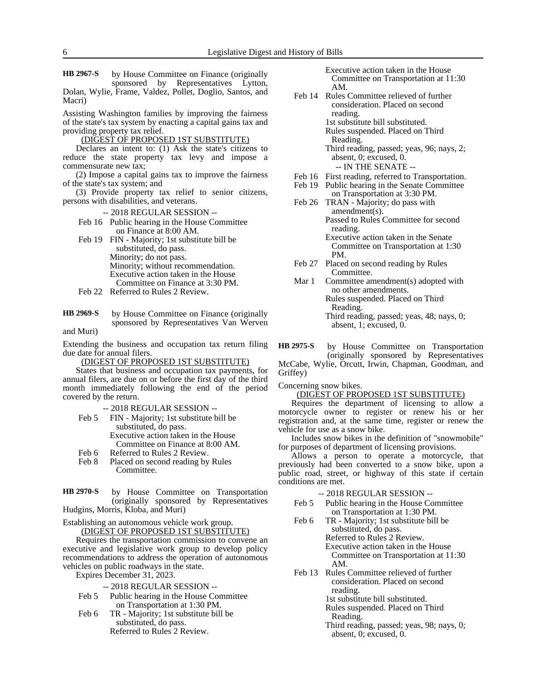by House Committee on Finance (originally sponsored by Representatives Lytton, Dolan, Wylie, Frame, Valdez, Pollet, Doglio, Santos, and **HB 2967-S**

Macri)

Assisting Washington families by improving the fairness of the state's tax system by enacting a capital gains tax and providing property tax relief.

(DIGEST OF PROPOSED 1ST SUBSTITUTE)

Declares an intent to: (1) Ask the state's citizens to reduce the state property tax levy and impose a commensurate new tax;

(2) Impose a capital gains tax to improve the fairness of the state's tax system; and

(3) Provide property tax relief to senior citizens, persons with disabilities, and veterans.

- -- 2018 REGULAR SESSION --
- Feb 16 Public hearing in the House Committee on Finance at 8:00 AM.
- Feb 19 FIN Majority; 1st substitute bill be substituted, do pass. Minority; do not pass. Minority; without recommendation. Executive action taken in the House Committee on Finance at 3:30 PM.
- Feb 22 Referred to Rules 2 Review.
- by House Committee on Finance (originally sponsored by Representatives Van Werven **HB 2969-S**

and Muri)

Extending the business and occupation tax return filing due date for annual filers.

(DIGEST OF PROPOSED 1ST SUBSTITUTE)

States that business and occupation tax payments, for annual filers, are due on or before the first day of the third month immediately following the end of the period covered by the return.

-- 2018 REGULAR SESSION --

- Feb 5 FIN Majority; 1st substitute bill be substituted, do pass. Executive action taken in the House Committee on Finance at 8:00 AM.
- Feb 6 Referred to Rules 2 Review.
- Feb 8 Placed on second reading by Rules Committee.

by House Committee on Transportation (originally sponsored by Representatives Hudgins, Morris, Kloba, and Muri) **HB 2970-S**

Establishing an autonomous vehicle work group. (DIGEST OF PROPOSED 1ST SUBSTITUTE)

Requires the transportation commission to convene an executive and legislative work group to develop policy recommendations to address the operation of autonomous vehicles on public roadways in the state.

Expires December 31, 2023.

-- 2018 REGULAR SESSION --

- Feb 5 Public hearing in the House Committee on Transportation at 1:30 PM.
- Feb 6 TR Majority; 1st substitute bill be substituted, do pass. Referred to Rules 2 Review.

Executive action taken in the House Committee on Transportation at 11:30 AM.

Feb 14 Rules Committee relieved of further consideration. Placed on second reading. 1st substitute bill substituted. Rules suspended. Placed on Third Reading.

Third reading, passed; yeas, 96; nays, 2; absent, 0; excused, 0. -- IN THE SENATE --

- Feb 16 First reading, referred to Transportation.<br>Feb 19 Public hearing in the Senate Committee Public hearing in the Senate Committee
- on Transportation at 3:30 PM. Feb 26 TRAN - Majority; do pass with amendment(s). Passed to Rules Committee for second reading. Executive action taken in the Senate Committee on Transportation at 1:30 PM.
- Feb 27 Placed on second reading by Rules Committee.
- Mar 1 Committee amendment(s) adopted with no other amendments. Rules suspended. Placed on Third Reading. Third reading, passed; yeas, 48; nays, 0; absent, 1; excused, 0.

by House Committee on Transportation (originally sponsored by Representatives McCabe, Wylie, Orcutt, Irwin, Chapman, Goodman, and Griffey) **HB 2975-S**

Concerning snow bikes.

## (DIGEST OF PROPOSED 1ST SUBSTITUTE)

Requires the department of licensing to allow a motorcycle owner to register or renew his or her registration and, at the same time, register or renew the vehicle for use as a snow bike.

Includes snow bikes in the definition of "snowmobile" for purposes of department of licensing provisions.

Allows a person to operate a motorcycle, that previously had been converted to a snow bike, upon a public road, street, or highway of this state if certain conditions are met.

-- 2018 REGULAR SESSION --

- Feb 5 Public hearing in the House Committee on Transportation at 1:30 PM.
- Feb 6 TR Majority; 1st substitute bill be substituted, do pass. Referred to Rules 2 Review. Executive action taken in the House Committee on Transportation at 11:30 AM.
- Feb 13 Rules Committee relieved of further consideration. Placed on second reading.
	- 1st substitute bill substituted.
	- Rules suspended. Placed on Third Reading.
	- Third reading, passed; yeas, 98; nays, 0; absent, 0; excused, 0.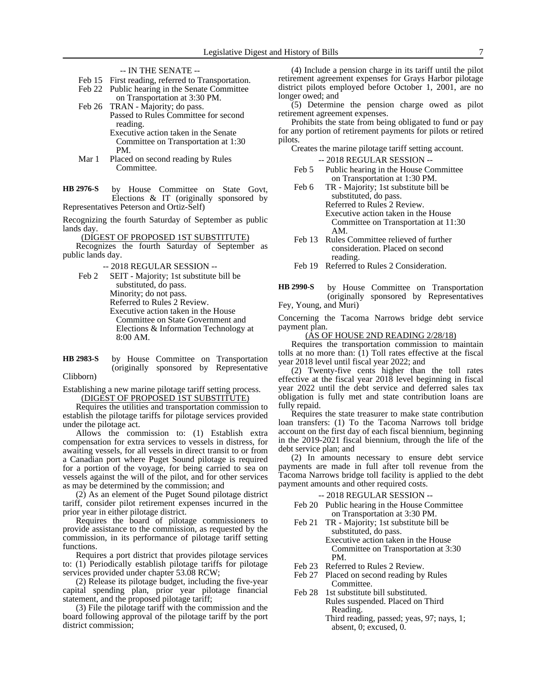- -- IN THE SENATE --
- Feb 15 First reading, referred to Transportation.
- Feb 22 Public hearing in the Senate Committee on Transportation at 3:30 PM.
- Feb 26 TRAN Majority; do pass. Passed to Rules Committee for second reading. Executive action taken in the Senate

Committee on Transportation at 1:30 PM.

Mar 1 Placed on second reading by Rules Committee.

by House Committee on State Govt, Elections & IT (originally sponsored by Representatives Peterson and Ortiz-Self) **HB 2976-S**

Recognizing the fourth Saturday of September as public lands day.

(DIGEST OF PROPOSED 1ST SUBSTITUTE)

Recognizes the fourth Saturday of September as public lands day.

-- 2018 REGULAR SESSION --

Feb 2 SEIT - Majority; 1st substitute bill be substituted, do pass. Minority; do not pass. Referred to Rules 2 Review. Executive action taken in the House Committee on State Government and Elections & Information Technology at 8:00 AM.

by House Committee on Transportation (originally sponsored by Representative **HB 2983-S**

Clibborn)

Establishing a new marine pilotage tariff setting process. (DIGEST OF PROPOSED 1ST SUBSTITUTE)

Requires the utilities and transportation commission to establish the pilotage tariffs for pilotage services provided under the pilotage act.

Allows the commission to: (1) Establish extra compensation for extra services to vessels in distress, for awaiting vessels, for all vessels in direct transit to or from a Canadian port where Puget Sound pilotage is required for a portion of the voyage, for being carried to sea on vessels against the will of the pilot, and for other services as may be determined by the commission; and

(2) As an element of the Puget Sound pilotage district tariff, consider pilot retirement expenses incurred in the prior year in either pilotage district.

Requires the board of pilotage commissioners to provide assistance to the commission, as requested by the commission, in its performance of pilotage tariff setting functions.

Requires a port district that provides pilotage services to: (1) Periodically establish pilotage tariffs for pilotage services provided under chapter 53.08 RCW;

(2) Release its pilotage budget, including the five-year capital spending plan, prior year pilotage financial statement, and the proposed pilotage tariff;

(3) File the pilotage tariff with the commission and the board following approval of the pilotage tariff by the port district commission;

(4) Include a pension charge in its tariff until the pilot retirement agreement expenses for Grays Harbor pilotage district pilots employed before October 1, 2001, are no longer owed; and

(5) Determine the pension charge owed as pilot retirement agreement expenses.

Prohibits the state from being obligated to fund or pay for any portion of retirement payments for pilots or retired pilots.

Creates the marine pilotage tariff setting account.

-- 2018 REGULAR SESSION --

- Feb 5 Public hearing in the House Committee on Transportation at 1:30 PM.
- Feb 6 TR Majority; 1st substitute bill be substituted, do pass. Referred to Rules 2 Review. Executive action taken in the House Committee on Transportation at 11:30 AM.
- Feb 13 Rules Committee relieved of further consideration. Placed on second reading.

Feb 19 Referred to Rules 2 Consideration.

by House Committee on Transportation (originally sponsored by Representatives Fey, Young, and Muri) **HB 2990-S**

Concerning the Tacoma Narrows bridge debt service payment plan.

(AS OF HOUSE 2ND READING 2/28/18)

Requires the transportation commission to maintain tolls at no more than:  $(1)$  Toll rates effective at the fiscal year 2018 level until fiscal year 2022; and

(2) Twenty-five cents higher than the toll rates effective at the fiscal year 2018 level beginning in fiscal year 2022 until the debt service and deferred sales tax obligation is fully met and state contribution loans are fully repaid.

Requires the state treasurer to make state contribution loan transfers: (1) To the Tacoma Narrows toll bridge account on the first day of each fiscal biennium, beginning in the 2019-2021 fiscal biennium, through the life of the debt service plan; and

(2) In amounts necessary to ensure debt service payments are made in full after toll revenue from the Tacoma Narrows bridge toll facility is applied to the debt payment amounts and other required costs.

-- 2018 REGULAR SESSION --

- Feb 20 Public hearing in the House Committee on Transportation at 3:30 PM.
- Feb 21 TR Majority; 1st substitute bill be substituted, do pass. Executive action taken in the House Committee on Transportation at 3:30 PM.
- Feb 23 Referred to Rules 2 Review.
- Feb 27 Placed on second reading by Rules **Committee.**
- Feb 28 1st substitute bill substituted. Rules suspended. Placed on Third Reading.
	- Third reading, passed; yeas, 97; nays, 1; absent, 0; excused, 0.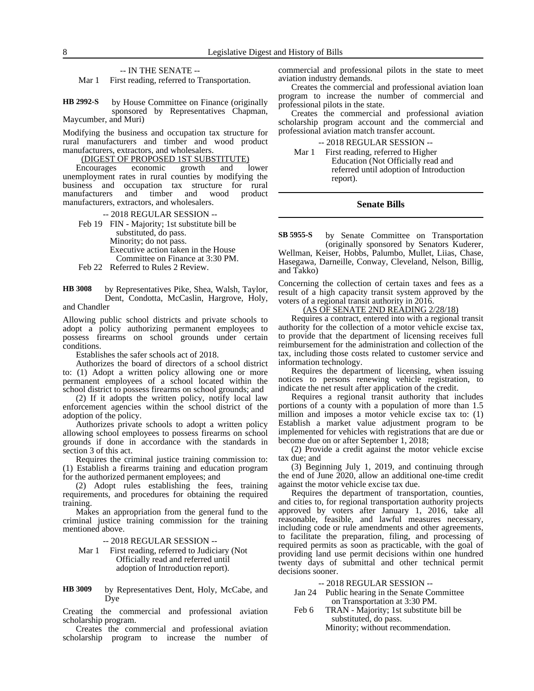#### -- IN THE SENATE --

Mar 1 First reading, referred to Transportation.

by House Committee on Finance (originally sponsored by Representatives Chapman, Maycumber, and Muri) **HB 2992-S**

Modifying the business and occupation tax structure for rural manufacturers and timber and wood product manufacturers, extractors, and wholesalers.

#### (DIGEST OF PROPOSED 1ST SUBSTITUTE)

Encourages economic growth and lower unemployment rates in rural counties by modifying the business and occupation tax structure for rural manufacturers and timber and wood product manufacturers, extractors, and wholesalers.

-- 2018 REGULAR SESSION -- Feb 19 FIN - Majority; 1st substitute bill be substituted, do pass. Minority; do not pass. Executive action taken in the House Committee on Finance at 3:30 PM. Feb 22 Referred to Rules 2 Review.

by Representatives Pike, Shea, Walsh, Taylor, Dent, Condotta, McCaslin, Hargrove, Holy, and Chandler **HB 3008**

Allowing public school districts and private schools to adopt a policy authorizing permanent employees to possess firearms on school grounds under certain conditions.

Establishes the safer schools act of 2018.

Authorizes the board of directors of a school district to: (1) Adopt a written policy allowing one or more permanent employees of a school located within the school district to possess firearms on school grounds; and

(2) If it adopts the written policy, notify local law enforcement agencies within the school district of the adoption of the policy.

Authorizes private schools to adopt a written policy allowing school employees to possess firearms on school grounds if done in accordance with the standards in section 3 of this act.

Requires the criminal justice training commission to: (1) Establish a firearms training and education program for the authorized permanent employees; and

(2) Adopt rules establishing the fees, training requirements, and procedures for obtaining the required training.

Makes an appropriation from the general fund to the criminal justice training commission for the training mentioned above.

-- 2018 REGULAR SESSION --

Mar 1 First reading, referred to Judiciary (Not Officially read and referred until adoption of Introduction report).

by Representatives Dent, Holy, McCabe, and Dye **HB 3009**

Creating the commercial and professional aviation scholarship program.

Creates the commercial and professional aviation scholarship program to increase the number of commercial and professional pilots in the state to meet aviation industry demands.

Creates the commercial and professional aviation loan program to increase the number of commercial and professional pilots in the state.

Creates the commercial and professional aviation scholarship program account and the commercial and professional aviation match transfer account.

-- 2018 REGULAR SESSION --

Mar 1 First reading, referred to Higher Education (Not Officially read and referred until adoption of Introduction report).

#### **Senate Bills**

by Senate Committee on Transportation (originally sponsored by Senators Kuderer, **SB 5955-S**

Wellman, Keiser, Hobbs, Palumbo, Mullet, Liias, Chase, Hasegawa, Darneille, Conway, Cleveland, Nelson, Billig, and Takko)

Concerning the collection of certain taxes and fees as a result of a high capacity transit system approved by the voters of a regional transit authority in 2016.

(AS OF SENATE 2ND READING 2/28/18)

Requires a contract, entered into with a regional transit authority for the collection of a motor vehicle excise tax, to provide that the department of licensing receives full reimbursement for the administration and collection of the tax, including those costs related to customer service and information technology.

Requires the department of licensing, when issuing notices to persons renewing vehicle registration, to indicate the net result after application of the credit.

Requires a regional transit authority that includes portions of a county with a population of more than 1.5 million and imposes a motor vehicle excise tax to: (1) Establish a market value adjustment program to be implemented for vehicles with registrations that are due or become due on or after September 1, 2018;

(2) Provide a credit against the motor vehicle excise tax due; and

(3) Beginning July 1, 2019, and continuing through the end of June 2020, allow an additional one-time credit against the motor vehicle excise tax due.

Requires the department of transportation, counties, and cities to, for regional transportation authority projects approved by voters after January 1, 2016, take all reasonable, feasible, and lawful measures necessary, including code or rule amendments and other agreements, to facilitate the preparation, filing, and processing of required permits as soon as practicable, with the goal of providing land use permit decisions within one hundred twenty days of submittal and other technical permit decisions sooner.

#### -- 2018 REGULAR SESSION --

- Jan 24 Public hearing in the Senate Committee on Transportation at 3:30 PM.
- Feb 6 TRAN Majority; 1st substitute bill be substituted, do pass.

Minority; without recommendation.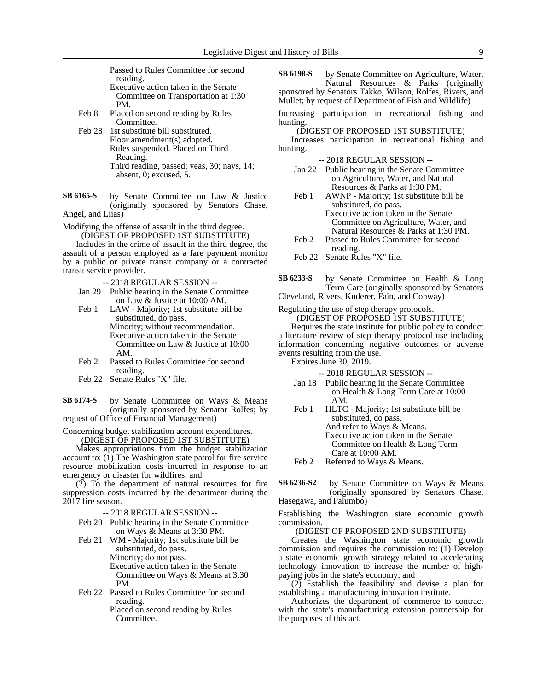Passed to Rules Committee for second reading. Executive action taken in the Senate

- Committee on Transportation at 1:30 PM.
- Feb 8 Placed on second reading by Rules Committee.
- Feb 28 1st substitute bill substituted. Floor amendment(s) adopted. Rules suspended. Placed on Third Reading. Third reading, passed; yeas, 30; nays, 14; absent, 0; excused, 5.
- by Senate Committee on Law & Justice (originally sponsored by Senators Chase, Angel, and Liias) **SB 6165-S**
- 
- Modifying the offense of assault in the third degree. (DIGEST OF PROPOSED 1ST SUBSTITUTE)

Includes in the crime of assault in the third degree, the assault of a person employed as a fare payment monitor by a public or private transit company or a contracted transit service provider.

- -- 2018 REGULAR SESSION --
- Jan 29 Public hearing in the Senate Committee on Law & Justice at 10:00 AM.
- Feb 1 LAW Majority; 1st substitute bill be substituted, do pass. Minority; without recommendation. Executive action taken in the Senate Committee on Law & Justice at 10:00 AM.
- Feb 2 Passed to Rules Committee for second reading.
- Feb 22 Senate Rules "X" file.

by Senate Committee on Ways & Means (originally sponsored by Senator Rolfes; by request of Office of Financial Management) **SB 6174-S**

Concerning budget stabilization account expenditures.

(DIGEST OF PROPOSED 1ST SUBSTITUTE)

Makes appropriations from the budget stabilization account to: (1) The Washington state patrol for fire service resource mobilization costs incurred in response to an emergency or disaster for wildfires; and

(2) To the department of natural resources for fire suppression costs incurred by the department during the 2017 fire season.

-- 2018 REGULAR SESSION --

- Feb 20 Public hearing in the Senate Committee on Ways & Means at 3:30 PM.
- Feb 21 WM Majority; 1st substitute bill be substituted, do pass. Minority; do not pass. Executive action taken in the Senate Committee on Ways & Means at 3:30 PM.
- Feb 22 Passed to Rules Committee for second reading. Placed on second reading by Rules

Committee.

by Senate Committee on Agriculture, Water, Natural Resources & Parks (originally sponsored by Senators Takko, Wilson, Rolfes, Rivers, and **SB 6198-S**

Mullet; by request of Department of Fish and Wildlife)

Increasing participation in recreational fishing and hunting.

(DIGEST OF PROPOSED 1ST SUBSTITUTE)

Increases participation in recreational fishing and hunting.

-- 2018 REGULAR SESSION --

- Jan 22 Public hearing in the Senate Committee on Agriculture, Water, and Natural Resources & Parks at 1:30 PM.
- Feb 1 AWNP Majority; 1st substitute bill be substituted, do pass. Executive action taken in the Senate Committee on Agriculture, Water, and Natural Resources & Parks at 1:30 PM.
- Feb 2 Passed to Rules Committee for second reading.
- Feb 22 Senate Rules "X" file.
- by Senate Committee on Health & Long Term Care (originally sponsored by Senators **SB 6233-S**

Cleveland, Rivers, Kuderer, Fain, and Conway)

Regulating the use of step therapy protocols. (DIGEST OF PROPOSED 1ST SUBSTITUTE)

Requires the state institute for public policy to conduct a literature review of step therapy protocol use including information concerning negative outcomes or adverse events resulting from the use.

Expires June 30, 2019.

-- 2018 REGULAR SESSION --

- Jan 18 Public hearing in the Senate Committee on Health & Long Term Care at 10:00 AM.
- Feb 1 HLTC Majority; 1st substitute bill be substituted, do pass. And refer to Ways & Means. Executive action taken in the Senate Committee on Health & Long Term Care at 10:00 AM.

Feb 2 Referred to Ways & Means.

by Senate Committee on Ways & Means (originally sponsored by Senators Chase, Hasegawa, and Palumbo) **SB 6236-S2**

Establishing the Washington state economic growth commission.

# (DIGEST OF PROPOSED 2ND SUBSTITUTE)

Creates the Washington state economic growth commission and requires the commission to: (1) Develop a state economic growth strategy related to accelerating technology innovation to increase the number of highpaying jobs in the state's economy; and

(2) Establish the feasibility and devise a plan for establishing a manufacturing innovation institute.

Authorizes the department of commerce to contract with the state's manufacturing extension partnership for the purposes of this act.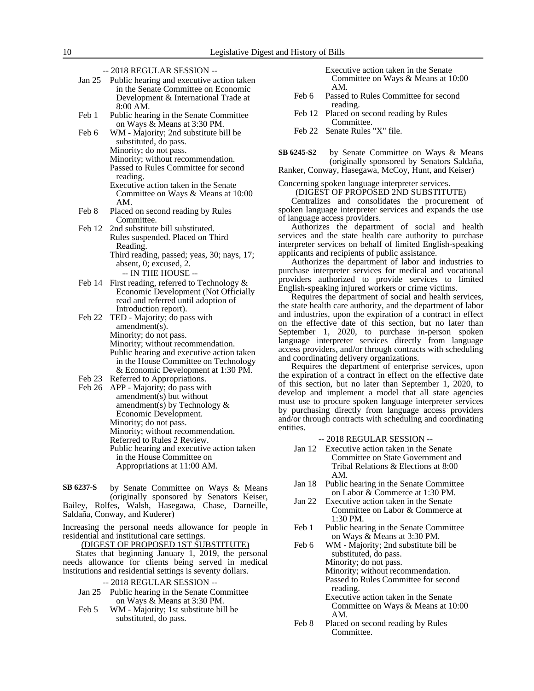- -- 2018 REGULAR SESSION --
- Jan 25 Public hearing and executive action taken in the Senate Committee on Economic Development & International Trade at 8:00 AM.
- Feb 1 Public hearing in the Senate Committee on Ways & Means at 3:30 PM.

Feb 6 WM - Majority; 2nd substitute bill be substituted, do pass. Minority; do not pass. Minority; without recommendation. Passed to Rules Committee for second reading. Executive action taken in the Senate Committee on Ways & Means at 10:00 AM.

- Feb 8 Placed on second reading by Rules Committee.
- Feb 12 2nd substitute bill substituted. Rules suspended. Placed on Third Reading. Third reading, passed; yeas, 30; nays, 17; absent, 0; excused, 2.

-- IN THE HOUSE --

- Feb 14 First reading, referred to Technology & Economic Development (Not Officially read and referred until adoption of Introduction report).
- Feb 22 TED Majority; do pass with amendment(s). Minority; do not pass. Minority; without recommendation. Public hearing and executive action taken in the House Committee on Technology & Economic Development at 1:30 PM.
- Feb 23 Referred to Appropriations.
- Feb 26 APP Majority; do pass with amendment(s) but without amendment(s) by Technology  $\&$ Economic Development. Minority; do not pass. Minority; without recommendation. Referred to Rules 2 Review. Public hearing and executive action taken in the House Committee on Appropriations at 11:00 AM.

by Senate Committee on Ways & Means (originally sponsored by Senators Keiser, Bailey, Rolfes, Walsh, Hasegawa, Chase, Darneille, Saldaña, Conway, and Kuderer) **SB 6237-S**

Increasing the personal needs allowance for people in residential and institutional care settings.

(DIGEST OF PROPOSED 1ST SUBSTITUTE)

States that beginning January 1, 2019, the personal needs allowance for clients being served in medical institutions and residential settings is seventy dollars.

- -- 2018 REGULAR SESSION --
- Jan 25 Public hearing in the Senate Committee on Ways & Means at 3:30 PM.
- Feb 5 WM Majority; 1st substitute bill be substituted, do pass.

Executive action taken in the Senate Committee on Ways & Means at 10:00 AM.

- Feb 6 Passed to Rules Committee for second reading.
- Feb 12 Placed on second reading by Rules Committee.
- Feb 22 Senate Rules "X" file.

by Senate Committee on Ways & Means (originally sponsored by Senators Saldaña, **SB 6245-S2**

Ranker, Conway, Hasegawa, McCoy, Hunt, and Keiser)

### Concerning spoken language interpreter services. (DIGEST OF PROPOSED 2ND SUBSTITUTE)

Centralizes and consolidates the procurement of spoken language interpreter services and expands the use of language access providers.

Authorizes the department of social and health services and the state health care authority to purchase interpreter services on behalf of limited English-speaking applicants and recipients of public assistance.

Authorizes the department of labor and industries to purchase interpreter services for medical and vocational providers authorized to provide services to limited English-speaking injured workers or crime victims.

Requires the department of social and health services, the state health care authority, and the department of labor and industries, upon the expiration of a contract in effect on the effective date of this section, but no later than September 1, 2020, to purchase in-person spoken language interpreter services directly from language access providers, and/or through contracts with scheduling and coordinating delivery organizations.

Requires the department of enterprise services, upon the expiration of a contract in effect on the effective date of this section, but no later than September 1, 2020, to develop and implement a model that all state agencies must use to procure spoken language interpreter services by purchasing directly from language access providers and/or through contracts with scheduling and coordinating entities.

-- 2018 REGULAR SESSION --

- Jan 12 Executive action taken in the Senate Committee on State Government and Tribal Relations & Elections at 8:00 AM.
- Jan 18 Public hearing in the Senate Committee on Labor & Commerce at 1:30 PM.
- Jan 22 Executive action taken in the Senate Committee on Labor & Commerce at 1:30 PM.
- Feb 1 Public hearing in the Senate Committee on Ways & Means at 3:30 PM.
- Feb 6 WM Majority; 2nd substitute bill be substituted, do pass. Minority; do not pass. Minority; without recommendation.

Passed to Rules Committee for second reading.

- Executive action taken in the Senate Committee on Ways & Means at 10:00 AM.
- Feb 8 Placed on second reading by Rules Committee.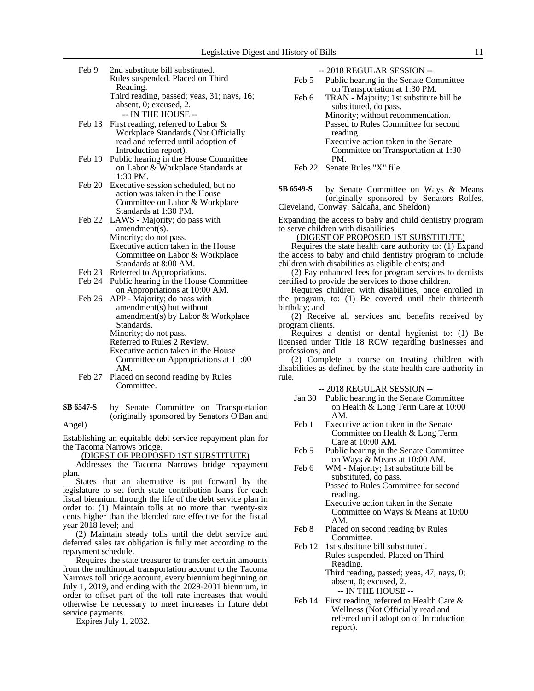- Feb 9 2nd substitute bill substituted. Rules suspended. Placed on Third Reading. Third reading, passed; yeas, 31; nays, 16; absent, 0; excused, 2. -- IN THE HOUSE --
- Feb 13 First reading, referred to Labor & Workplace Standards (Not Officially read and referred until adoption of Introduction report).
- Feb 19 Public hearing in the House Committee on Labor & Workplace Standards at 1:30 PM.
- Feb 20 Executive session scheduled, but no action was taken in the House Committee on Labor & Workplace Standards at 1:30 PM.
- Feb 22 LAWS Majority; do pass with amendment(s). Minority; do not pass. Executive action taken in the House Committee on Labor & Workplace Standards at 8:00 AM.
- Feb 23 Referred to Appropriations.
- Feb 24 Public hearing in the House Committee on Appropriations at 10:00 AM.
- Feb 26 APP Majority; do pass with amendment(s) but without amendment(s) by Labor & Workplace Standards. Minority; do not pass.
	- Referred to Rules 2 Review.
	- Executive action taken in the House Committee on Appropriations at 11:00 AM.
- Feb 27 Placed on second reading by Rules Committee.
- by Senate Committee on Transportation (originally sponsored by Senators O'Ban and **SB 6547-S**

# Angel)

Establishing an equitable debt service repayment plan for the Tacoma Narrows bridge.

(DIGEST OF PROPOSED 1ST SUBSTITUTE)

Addresses the Tacoma Narrows bridge repayment plan.

States that an alternative is put forward by the legislature to set forth state contribution loans for each fiscal biennium through the life of the debt service plan in order to: (1) Maintain tolls at no more than twenty-six cents higher than the blended rate effective for the fiscal year 2018 level; and

(2) Maintain steady tolls until the debt service and deferred sales tax obligation is fully met according to the repayment schedule.

Requires the state treasurer to transfer certain amounts from the multimodal transportation account to the Tacoma Narrows toll bridge account, every biennium beginning on July 1, 2019, and ending with the 2029-2031 biennium, in order to offset part of the toll rate increases that would otherwise be necessary to meet increases in future debt service payments.

Expires July 1, 2032.

-- 2018 REGULAR SESSION --

- Feb 5 Public hearing in the Senate Committee on Transportation at 1:30 PM.
- Feb 6 TRAN Majority; 1st substitute bill be substituted, do pass. Minority; without recommendation.
	- Passed to Rules Committee for second reading.
	- Executive action taken in the Senate Committee on Transportation at 1:30 PM.

by Senate Committee on Ways & Means (originally sponsored by Senators Rolfes, Cleveland, Conway, Saldaña, and Sheldon) **SB 6549-S**

Expanding the access to baby and child dentistry program to serve children with disabilities.

(DIGEST OF PROPOSED 1ST SUBSTITUTE)

Requires the state health care authority to: (1) Expand the access to baby and child dentistry program to include children with disabilities as eligible clients; and

(2) Pay enhanced fees for program services to dentists certified to provide the services to those children.

Requires children with disabilities, once enrolled in the program, to: (1) Be covered until their thirteenth birthday; and

(2) Receive all services and benefits received by program clients.

Requires a dentist or dental hygienist to: (1) Be licensed under Title 18 RCW regarding businesses and professions; and

(2) Complete a course on treating children with disabilities as defined by the state health care authority in rule.

#### -- 2018 REGULAR SESSION --

- Jan 30 Public hearing in the Senate Committee on Health & Long Term Care at 10:00 AM.
- Feb 1 Executive action taken in the Senate Committee on Health & Long Term Care at 10:00 AM.
- Feb 5 Public hearing in the Senate Committee on Ways & Means at 10:00 AM.
- Feb 6 WM Majority; 1st substitute bill be substituted, do pass. Passed to Rules Committee for second

reading. Executive action taken in the Senate Committee on Ways & Means at 10:00 AM.

- Feb 8 Placed on second reading by Rules Committee.
- Feb 12 1st substitute bill substituted. Rules suspended. Placed on Third Reading. Third reading, passed; yeas, 47; nays, 0; absent, 0; excused, 2.
	- -- IN THE HOUSE --
- Feb 14 First reading, referred to Health Care & Wellness (Not Officially read and referred until adoption of Introduction report).

Feb 22 Senate Rules "X" file.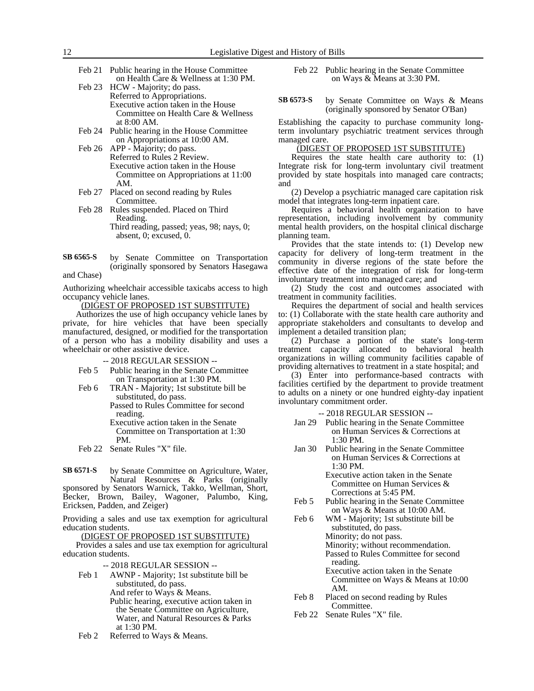- Feb 21 Public hearing in the House Committee on Health Care & Wellness at 1:30 PM.
- Feb 23 HCW Majority; do pass. Referred to Appropriations. Executive action taken in the House Committee on Health Care & Wellness at 8:00 AM.
- Feb 24 Public hearing in the House Committee on Appropriations at 10:00 AM.
- Feb 26 APP Majority; do pass. Referred to Rules 2 Review. Executive action taken in the House Committee on Appropriations at 11:00 AM.
- Feb 27 Placed on second reading by Rules Committee.
- Feb 28 Rules suspended. Placed on Third Reading. Third reading, passed; yeas, 98; nays, 0; absent, 0; excused, 0.
- by Senate Committee on Transportation (originally sponsored by Senators Hasegawa **SB 6565-S**

and Chase)

Authorizing wheelchair accessible taxicabs access to high occupancy vehicle lanes.

(DIGEST OF PROPOSED 1ST SUBSTITUTE)

Authorizes the use of high occupancy vehicle lanes by private, for hire vehicles that have been specially manufactured, designed, or modified for the transportation of a person who has a mobility disability and uses a wheelchair or other assistive device.

-- 2018 REGULAR SESSION --

- Feb 5 Public hearing in the Senate Committee on Transportation at 1:30 PM.
- Feb 6 TRAN Majority; 1st substitute bill be substituted, do pass. Passed to Rules Committee for second

reading. Executive action taken in the Senate Committee on Transportation at 1:30

PM.

Feb 22 Senate Rules "X" file.

by Senate Committee on Agriculture, Water, Natural Resources & Parks (originally sponsored by Senators Warnick, Takko, Wellman, Short, **SB 6571-S**

Becker, Brown, Bailey, Wagoner, Palumbo, King, Ericksen, Padden, and Zeiger)

Providing a sales and use tax exemption for agricultural education students.

(DIGEST OF PROPOSED 1ST SUBSTITUTE)

Provides a sales and use tax exemption for agricultural education students.

-- 2018 REGULAR SESSION --

- Feb 1 AWNP Majority; 1st substitute bill be substituted, do pass. And refer to Ways & Means. Public hearing, executive action taken in the Senate Committee on Agriculture, Water, and Natural Resources & Parks at 1:30 PM.
- Feb 2 Referred to Ways & Means.
- Feb 22 Public hearing in the Senate Committee on Ways & Means at 3:30 PM.
- by Senate Committee on Ways & Means (originally sponsored by Senator O'Ban) **SB 6573-S**

Establishing the capacity to purchase community longterm involuntary psychiatric treatment services through managed care.

## (DIGEST OF PROPOSED 1ST SUBSTITUTE)

Requires the state health care authority to: (1) Integrate risk for long-term involuntary civil treatment provided by state hospitals into managed care contracts; and

(2) Develop a psychiatric managed care capitation risk model that integrates long-term inpatient care.

Requires a behavioral health organization to have representation, including involvement by community mental health providers, on the hospital clinical discharge planning team.

Provides that the state intends to: (1) Develop new capacity for delivery of long-term treatment in the community in diverse regions of the state before the effective date of the integration of risk for long-term involuntary treatment into managed care; and

(2) Study the cost and outcomes associated with treatment in community facilities.

Requires the department of social and health services to: (1) Collaborate with the state health care authority and appropriate stakeholders and consultants to develop and implement a detailed transition plan;

(2) Purchase a portion of the state's long-term treatment capacity allocated to behavioral health organizations in willing community facilities capable of providing alternatives to treatment in a state hospital; and

(3) Enter into performance-based contracts with facilities certified by the department to provide treatment to adults on a ninety or one hundred eighty-day inpatient involuntary commitment order.

-- 2018 REGULAR SESSION --

- Jan 29 Public hearing in the Senate Committee on Human Services & Corrections at 1:30 PM.
- Jan 30 Public hearing in the Senate Committee on Human Services & Corrections at 1:30 PM.

Executive action taken in the Senate Committee on Human Services & Corrections at 5:45 PM.

- Feb 5 Public hearing in the Senate Committee on Ways & Means at 10:00 AM.
- Feb 6 WM Majority; 1st substitute bill be substituted, do pass. Minority; do not pass. Minority; without recommendation. Passed to Rules Committee for second reading.

Executive action taken in the Senate Committee on Ways & Means at 10:00 AM.

- Feb 8 Placed on second reading by Rules Committee.
- Feb 22 Senate Rules "X" file.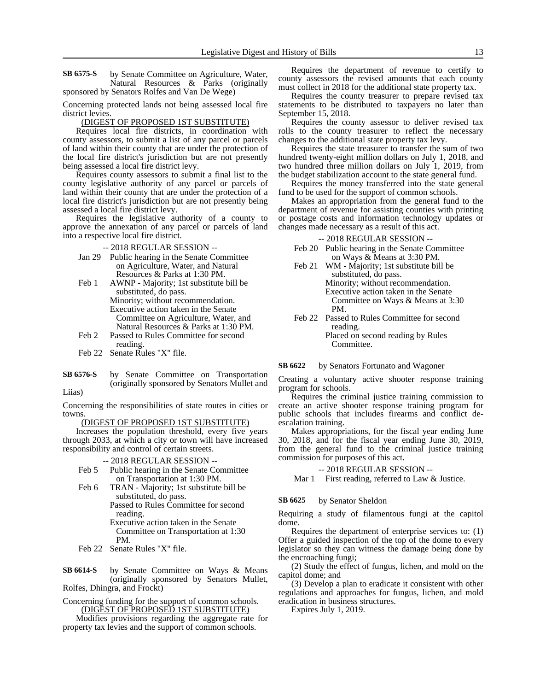by Senate Committee on Agriculture, Water, Natural Resources & Parks (originally sponsored by Senators Rolfes and Van De Wege) **SB 6575-S**

Concerning protected lands not being assessed local fire district levies.

#### (DIGEST OF PROPOSED 1ST SUBSTITUTE)

Requires local fire districts, in coordination with county assessors, to submit a list of any parcel or parcels of land within their county that are under the protection of the local fire district's jurisdiction but are not presently being assessed a local fire district levy.

Requires county assessors to submit a final list to the county legislative authority of any parcel or parcels of land within their county that are under the protection of a local fire district's jurisdiction but are not presently being assessed a local fire district levy.

Requires the legislative authority of a county to approve the annexation of any parcel or parcels of land into a respective local fire district.

-- 2018 REGULAR SESSION --

- Jan 29 Public hearing in the Senate Committee on Agriculture, Water, and Natural Resources & Parks at 1:30 PM.
- Feb 1 AWNP Majority; 1st substitute bill be substituted, do pass. Minority; without recommendation. Executive action taken in the Senate Committee on Agriculture, Water, and Natural Resources & Parks at 1:30 PM.
- Feb 2 Passed to Rules Committee for second reading.
- Feb 22 Senate Rules "X" file.
- by Senate Committee on Transportation (originally sponsored by Senators Mullet and **SB 6576-S**

Liias)

Concerning the responsibilities of state routes in cities or towns.

#### (DIGEST OF PROPOSED 1ST SUBSTITUTE)

Increases the population threshold, every five years through 2033, at which a city or town will have increased responsibility and control of certain streets.

#### -- 2018 REGULAR SESSION --

- Feb 5 Public hearing in the Senate Committee on Transportation at 1:30 PM.
- Feb 6 TRAN Majority; 1st substitute bill be substituted, do pass.

Passed to Rules Committee for second reading.

- Executive action taken in the Senate Committee on Transportation at 1:30 PM.
- Feb 22 Senate Rules "X" file.
- by Senate Committee on Ways & Means (originally sponsored by Senators Mullet, Rolfes, Dhingra, and Frockt) **SB 6614-S**
- Concerning funding for the support of common schools. (DIGEST OF PROPOSED 1ST SUBSTITUTE)

Modifies provisions regarding the aggregate rate for property tax levies and the support of common schools.

Requires the department of revenue to certify to county assessors the revised amounts that each county must collect in 2018 for the additional state property tax.

Requires the county treasurer to prepare revised tax statements to be distributed to taxpayers no later than September 15, 2018.

Requires the county assessor to deliver revised tax rolls to the county treasurer to reflect the necessary changes to the additional state property tax levy.

Requires the state treasurer to transfer the sum of two hundred twenty-eight million dollars on July 1, 2018, and two hundred three million dollars on July 1, 2019, from the budget stabilization account to the state general fund.

Requires the money transferred into the state general fund to be used for the support of common schools.

Makes an appropriation from the general fund to the department of revenue for assisting counties with printing or postage costs and information technology updates or changes made necessary as a result of this act.

-- 2018 REGULAR SESSION --

- Feb 20 Public hearing in the Senate Committee on Ways & Means at 3:30 PM.
- Feb 21 WM Majority; 1st substitute bill be substituted, do pass. Minority; without recommendation. Executive action taken in the Senate Committee on Ways & Means at 3:30 PM.
- Feb 22 Passed to Rules Committee for second reading. Placed on second reading by Rules **Committee**

#### by Senators Fortunato and Wagoner **SB 6622**

Creating a voluntary active shooter response training program for schools.

Requires the criminal justice training commission to create an active shooter response training program for public schools that includes firearms and conflict deescalation training.

Makes appropriations, for the fiscal year ending June 30, 2018, and for the fiscal year ending June 30, 2019, from the general fund to the criminal justice training commission for purposes of this act.

-- 2018 REGULAR SESSION --

Mar 1 First reading, referred to Law & Justice.

by Senator Sheldon **SB 6625**

Requiring a study of filamentous fungi at the capitol dome.

Requires the department of enterprise services to: (1) Offer a guided inspection of the top of the dome to every legislator so they can witness the damage being done by the encroaching fungi;

(2) Study the effect of fungus, lichen, and mold on the capitol dome; and

(3) Develop a plan to eradicate it consistent with other regulations and approaches for fungus, lichen, and mold eradication in business structures.

Expires July 1, 2019.